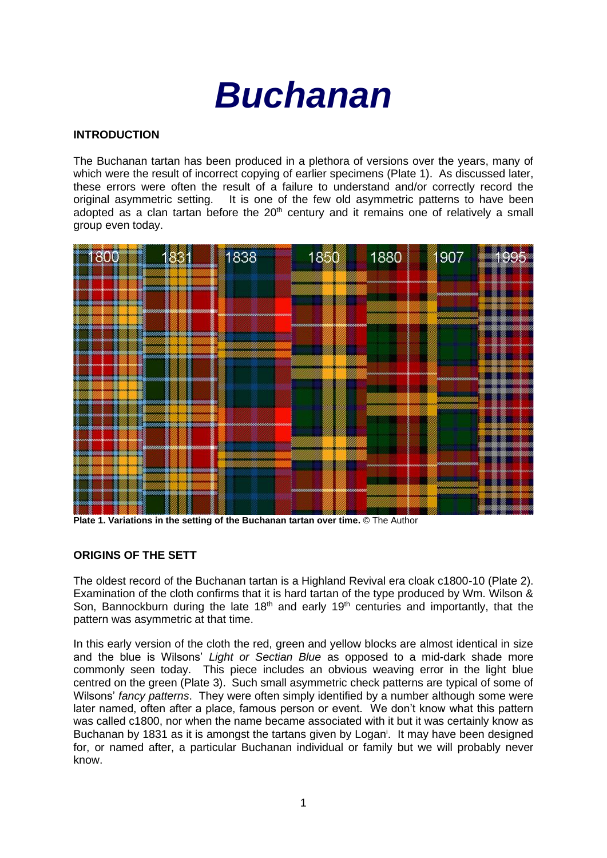

## **INTRODUCTION**

The Buchanan tartan has been produced in a plethora of versions over the years, many of which were the result of incorrect copying of earlier specimens (Plate 1). As discussed later, these errors were often the result of a failure to understand and/or correctly record the original asymmetric setting. It is one of the few old asymmetric patterns to have been It is one of the few old asymmetric patterns to have been adopted as a clan tartan before the  $20<sup>th</sup>$  century and it remains one of relatively a small group even today.



**Plate 1. Variations in the setting of the Buchanan tartan over time.** © The Author

## **ORIGINS OF THE SETT**

The oldest record of the Buchanan tartan is a Highland Revival era cloak c1800-10 (Plate 2). Examination of the cloth confirms that it is hard tartan of the type produced by Wm. Wilson & Son, Bannockburn during the late  $18<sup>th</sup>$  and early  $19<sup>th</sup>$  centuries and importantly, that the pattern was asymmetric at that time.

In this early version of the cloth the red, green and yellow blocks are almost identical in size and the blue is Wilsons' *Light or Sectian Blue* as opposed to a mid-dark shade more commonly seen today. This piece includes an obvious weaving error in the light blue centred on the green (Plate 3). Such small asymmetric check patterns are typical of some of Wilsons' *fancy patterns*. They were often simply identified by a number although some were later named, often after a place, famous person or event. We don't know what this pattern was called c1800, nor when the name became associated with it but it was certainly know as Buchanan by 1831 as it is amongst the tartans given by Logan<sup>i</sup>. It may have been designed for, or named after, a particular Buchanan individual or family but we will probably never know.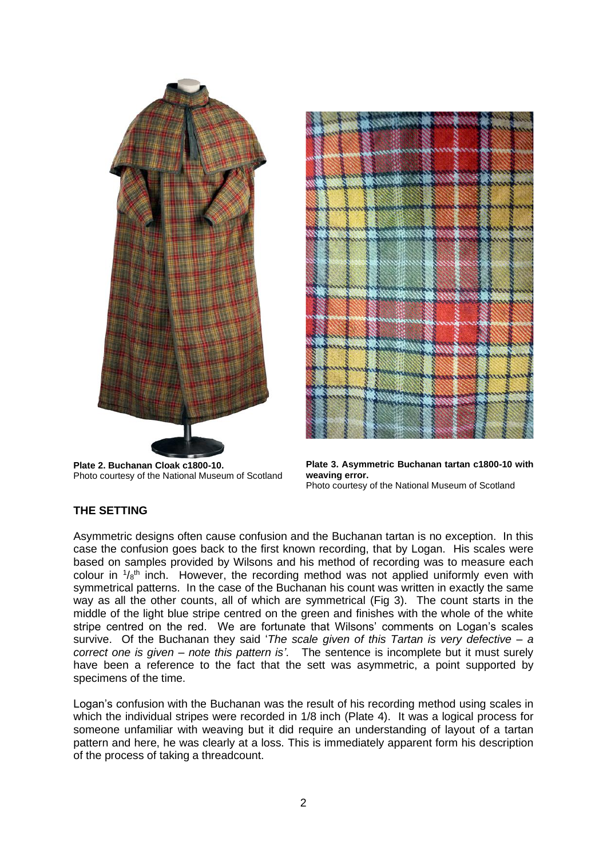

**Plate 2. Buchanan Cloak c1800-10.** Photo courtesy of the National Museum of Scotland



**Plate 3. Asymmetric Buchanan tartan c1800-10 with weaving error.** Photo courtesy of the National Museum of Scotland

# **THE SETTING**

Asymmetric designs often cause confusion and the Buchanan tartan is no exception. In this case the confusion goes back to the first known recording, that by Logan. His scales were based on samples provided by Wilsons and his method of recording was to measure each colour in  $1/8$ <sup>th</sup> inch. However, the recording method was not applied uniformly even with symmetrical patterns. In the case of the Buchanan his count was written in exactly the same way as all the other counts, all of which are symmetrical (Fig 3). The count starts in the middle of the light blue stripe centred on the green and finishes with the whole of the white stripe centred on the red. We are fortunate that Wilsons' comments on Logan's scales survive. Of the Buchanan they said '*The scale given of this Tartan is very defective – a correct one is given – note this pattern is'*. The sentence is incomplete but it must surely have been a reference to the fact that the sett was asymmetric, a point supported by specimens of the time.

Logan's confusion with the Buchanan was the result of his recording method using scales in which the individual stripes were recorded in 1/8 inch (Plate 4). It was a logical process for someone unfamiliar with weaving but it did require an understanding of layout of a tartan pattern and here, he was clearly at a loss. This is immediately apparent form his description of the process of taking a threadcount.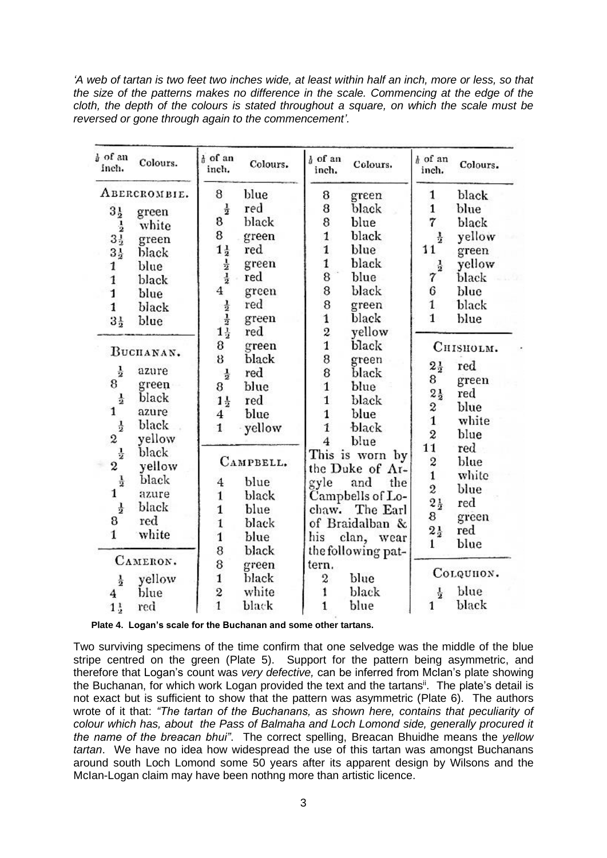*'A web of tartan is two feet two inches wide, at least within half an inch, more or less, so that the size of the patterns makes no difference in the scale. Commencing at the edge of the cloth, the depth of the colours is stated throughout a square, on which the scale must be reversed or gone through again to the commencement'.*

| a of an<br>inch. | Colours. | $\frac{1}{6}$ of an<br>inch.                      | Colours.  | $h$ of an<br>inch.  | Colours.           | h of an<br>inch.               | Colours.     |
|------------------|----------|---------------------------------------------------|-----------|---------------------|--------------------|--------------------------------|--------------|
| ABERCROMBIE.     |          | 8                                                 | blue      | 8                   | green              | 1                              | black        |
| $3\frac{1}{2}$   | green    | $\frac{1}{2}$                                     | red       | 8                   | black              | $\mathbf{1}$                   | blue         |
| $\frac{1}{2}$    | white    | 8                                                 | black     | 8                   | blue               | 7                              | black        |
| $3\frac{1}{2}$   | green    | 8                                                 | green     | $\mathbf{1}$        | black              | $\frac{1}{2}$                  | yellow       |
| $3\frac{1}{2}$   | black    |                                                   | red       | $\mathbf{1}$        | blue               | 11                             | green        |
| 1                | blue     | $1\frac{1}{2}$<br>$\frac{1}{2}$<br>$\frac{1}{2}$  | green     | $\mathbf{1}$        | black              | $\frac{1}{2}$                  | yellow       |
| $\mathbf{1}$     | black    |                                                   | red       | 8                   | blue               | 7                              | black        |
| $\mathbf{1}$     | blue     | 4                                                 | green     | 8                   | black              | 6                              | blue         |
| $\mathbf{1}$     | black    |                                                   | red       | 8                   | green              | $\mathbf{1}$                   | black        |
| $3\frac{1}{2}$   | blue     | $\frac{1}{2}$<br>$1\frac{1}{2}$<br>$1\frac{1}{2}$ | green     | $\mathbf{1}$        | black              | $\mathbf{1}$                   | blue         |
|                  |          |                                                   | red       | 2                   | yellow             |                                |              |
| BUCHANAN.        |          | 8                                                 | green     | $\mathbf{1}$        | black              |                                | Ситянотм.    |
|                  |          | 8                                                 | black     | 8                   | green              |                                |              |
| $\frac{1}{2}$    | azure    | $\frac{1}{2}$                                     | red       | 8                   | black              | $2\frac{1}{2}$                 | red          |
| 8                | green    | 8                                                 | blue      | $\mathbf{1}$        | blue               | 8                              | green        |
| $\frac{1}{2}$    | black    | $1\frac{1}{2}$                                    | red       | $\mathbf{1}$        | black              | $2\frac{1}{2}$                 | $_{\rm red}$ |
| 1                | azure    | $\overline{\mathbf{4}}$                           | blue      | $\mathbf{1}$        | blue               | 2<br>$\mathbf{1}$              | blue         |
| $\frac{1}{2}$    | black    | $\mathbf{1}$                                      | yellow    | $\mathbf{1}$        | black              |                                | white        |
| 2                | yellow   |                                                   |           | $\overline{\bf{4}}$ | blue               | $\boldsymbol{2}$<br>11         | blue         |
| $\frac{1}{2}$    | black    |                                                   |           |                     | This is worn by    |                                | $_{\rm red}$ |
| $\boldsymbol{2}$ | yellow   |                                                   | CAMPBELL. |                     | the Duke of Ar-    | $\overline{c}$                 | blue         |
| $\frac{1}{2}$    | black    | 4                                                 | blue      | gyle                | and<br>the         | $\mathbf{1}$<br>$\overline{2}$ | white        |
| 1                | azure    | $\mathbf{1}$                                      | black     |                     | Campbells of Lo-   |                                | blue         |
| $\frac{1}{2}$    | black    | $\mathbf{1}$                                      | blue      | chaw.               | The Earl           | $2\frac{1}{2}$                 | $_{\rm red}$ |
| 8                | red      | $\mathbf{1}$                                      | black     |                     | of Braidalban &    | 8                              | green        |
| $\mathbf{1}$     | white    | $\mathbf{1}$                                      | blue      | his                 | clan, wear         | $2\frac{1}{2}$                 | $_{\rm red}$ |
|                  |          | 8                                                 | black     |                     | the following pat- | $\mathbf{1}$                   | blue         |
| CAMERON.         |          | 8                                                 | green     | tern.               |                    |                                |              |
| $\frac{1}{2}$    | yellow   | 1                                                 | black     | 2                   | blue               |                                | Согочном.    |
| 4                | blue     | $\frac{2}{1}$                                     | white     | 1                   | black              | $\frac{1}{2}$                  | blue         |
| $1\frac{1}{2}$   | red      |                                                   | black     | $\mathbf{1}$        | blue               | $\mathbf{1}$                   | black        |

 **Plate 4. Logan's scale for the Buchanan and some other tartans.**

Two surviving specimens of the time confirm that one selvedge was the middle of the blue stripe centred on the green (Plate 5). Support for the pattern being asymmetric, and therefore that Logan's count was *very defective,* can be inferred from McIan's plate showing the Buchanan, for which work Logan provided the text and the tartans<sup>ii</sup>. The plate's detail is not exact but is sufficient to show that the pattern was asymmetric (Plate 6). The authors wrote of it that: *"The tartan of the Buchanans, as shown here, contains that peculiarity of colour which has, about the Pass of Balmaha and Loch Lomond side, generally procured it the name of the breacan bhui"*. The correct spelling, Breacan Bhuidhe means the *yellow tartan*. We have no idea how widespread the use of this tartan was amongst Buchanans around south Loch Lomond some 50 years after its apparent design by Wilsons and the McIan-Logan claim may have been nothng more than artistic licence.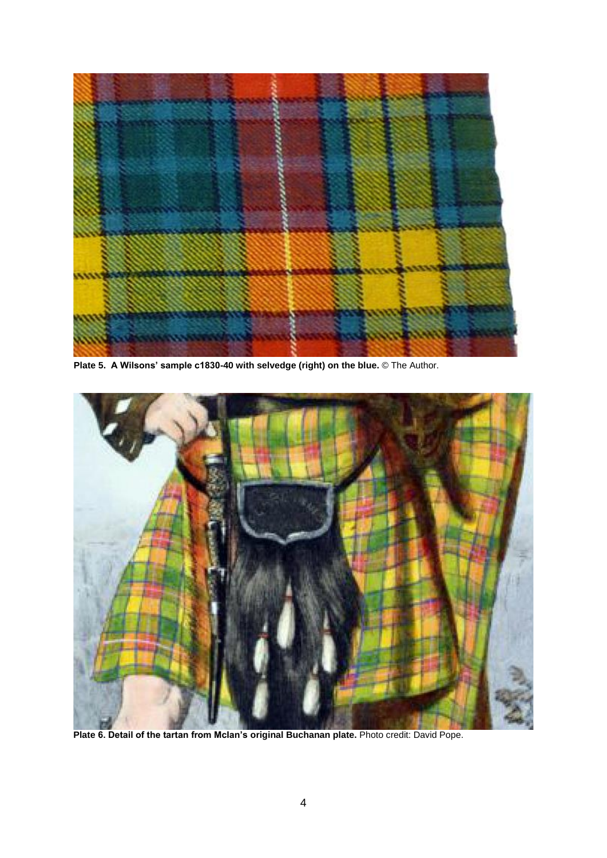

**Plate 5. A Wilsons' sample c1830-40 with selvedge (right) on the blue.** © The Author.



**Plate 6. Detail of the tartan from McIan's original Buchanan plate.** Photo credit: David Pope.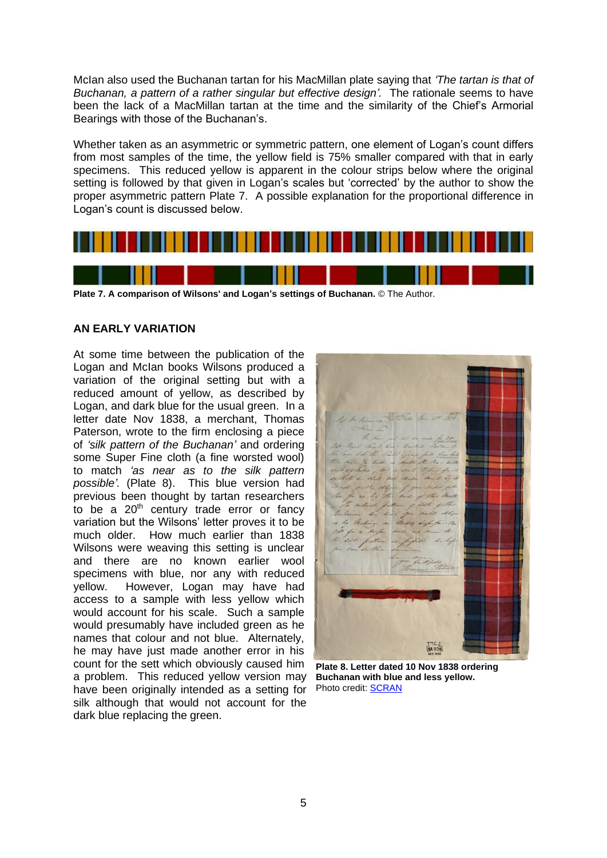McIan also used the Buchanan tartan for his MacMillan plate saying that *'The tartan is that of Buchanan, a pattern of a rather singular but effective design'.* The rationale seems to have been the lack of a MacMillan tartan at the time and the similarity of the Chief's Armorial Bearings with those of the Buchanan's.

Whether taken as an asymmetric or symmetric pattern, one element of Logan's count differs from most samples of the time, the yellow field is 75% smaller compared with that in early specimens. This reduced yellow is apparent in the colour strips below where the original setting is followed by that given in Logan's scales but 'corrected' by the author to show the proper asymmetric pattern Plate 7. A possible explanation for the proportional difference in Logan's count is discussed below.



**Plate 7. A comparison of Wilsons' and Logan's settings of Buchanan.** © The Author.

### **AN EARLY VARIATION**

At some time between the publication of the Logan and McIan books Wilsons produced a variation of the original setting but with a reduced amount of yellow, as described by Logan, and dark blue for the usual green. In a letter date Nov 1838, a merchant, Thomas Paterson, wrote to the firm enclosing a piece of *'silk pattern of the Buchanan'* and ordering some Super Fine cloth (a fine worsted wool) to match *'as near as to the silk pattern possible'.* (Plate 8). This blue version had previous been thought by tartan researchers to be a 20<sup>th</sup> century trade error or fancy variation but the Wilsons' letter proves it to be much older. How much earlier than 1838 Wilsons were weaving this setting is unclear and there are no known earlier wool specimens with blue, nor any with reduced yellow. However, Logan may have had access to a sample with less yellow which would account for his scale. Such a sample would presumably have included green as he names that colour and not blue. Alternately, he may have just made another error in his count for the sett which obviously caused him a problem. This reduced yellow version may have been originally intended as a setting for silk although that would not account for the dark blue replacing the green.



**Plate 8. Letter dated 10 Nov 1838 ordering Buchanan with blue and less yellow.** Photo credit: [SCRAN](http://www.scran.ac.uk/database/results.php?QUICKSEARCH=1&search_term=buchanan+tartan)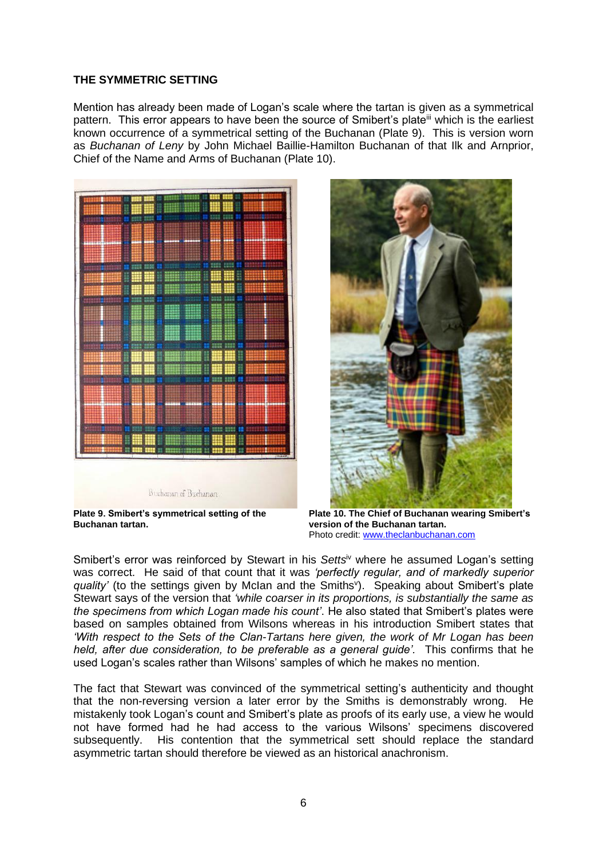### **THE SYMMETRIC SETTING**

Mention has already been made of Logan's scale where the tartan is given as a symmetrical pattern. This error appears to have been the source of Smibert's plate<sup>iii</sup> which is the earliest known occurrence of a symmetrical setting of the Buchanan (Plate 9). This is version worn as *Buchanan of Leny* by John Michael Baillie-Hamilton Buchanan of that Ilk and Arnprior, Chief of the Name and Arms of Buchanan (Plate 10).



**Plate 9. Smibert's symmetrical setting of the Buchanan tartan.**



**Plate 10. The Chief of Buchanan wearing Smibert's version of the Buchanan tartan.**  Photo credit: [www.theclanbuchanan.com](http://www.theclanbuchanan.com/)

Smibert's error was reinforced by Stewart in his *Setts*iv where he assumed Logan's setting was correct. He said of that count that it was *'perfectly regular, and of markedly superior*  quality' (to the settings given by McIan and the Smiths<sup>v</sup>). Speaking about Smibert's plate Stewart says of the version that *'while coarser in its proportions, is substantially the same as the specimens from which Logan made his count'*. He also stated that Smibert's plates were based on samples obtained from Wilsons whereas in his introduction Smibert states that *'With respect to the Sets of the Clan-Tartans here given, the work of Mr Logan has been held, after due consideration, to be preferable as a general guide'.* This confirms that he used Logan's scales rather than Wilsons' samples of which he makes no mention.

The fact that Stewart was convinced of the symmetrical setting's authenticity and thought that the non-reversing version a later error by the Smiths is demonstrably wrong. He mistakenly took Logan's count and Smibert's plate as proofs of its early use, a view he would not have formed had he had access to the various Wilsons' specimens discovered subsequently. His contention that the symmetrical sett should replace the standard asymmetric tartan should therefore be viewed as an historical anachronism.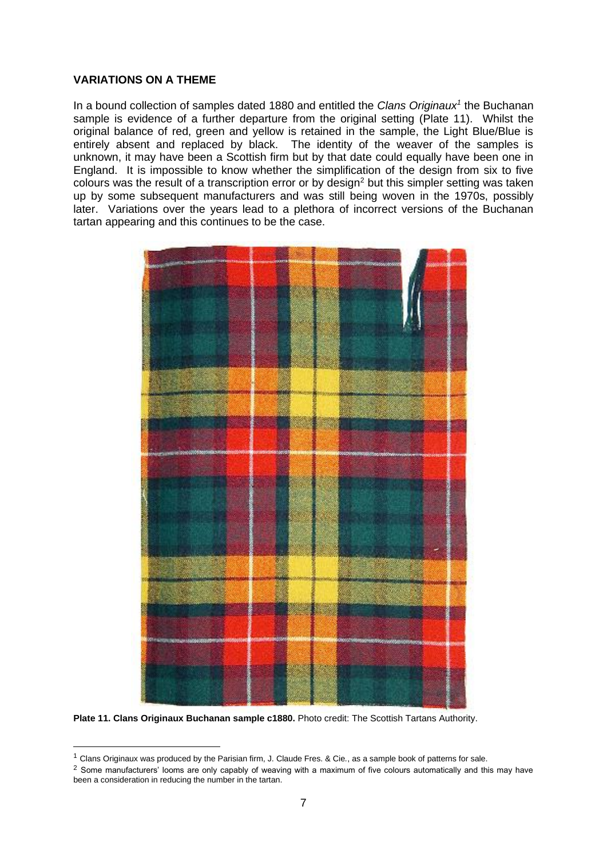#### **VARIATIONS ON A THEME**

In a bound collection of samples dated 1880 and entitled the *Clans Originaux<sup>1</sup>* the Buchanan sample is evidence of a further departure from the original setting (Plate 11). Whilst the original balance of red, green and yellow is retained in the sample, the Light Blue/Blue is entirely absent and replaced by black. The identity of the weaver of the samples is unknown, it may have been a Scottish firm but by that date could equally have been one in England. It is impossible to know whether the simplification of the design from six to five colours was the result of a transcription error or by design<sup>2</sup> but this simpler setting was taken up by some subsequent manufacturers and was still being woven in the 1970s, possibly later. Variations over the years lead to a plethora of incorrect versions of the Buchanan tartan appearing and this continues to be the case.



**Plate 11. Clans Originaux Buchanan sample c1880.** Photo credit: The Scottish Tartans Authority.

<sup>1</sup> Clans Originaux was produced by the Parisian firm, J. Claude Fres. & Cie*.*, as a sample book of patterns for sale.

<sup>&</sup>lt;sup>2</sup> Some manufacturers' looms are only capably of weaving with a maximum of five colours automatically and this may have been a consideration in reducing the number in the tartan.